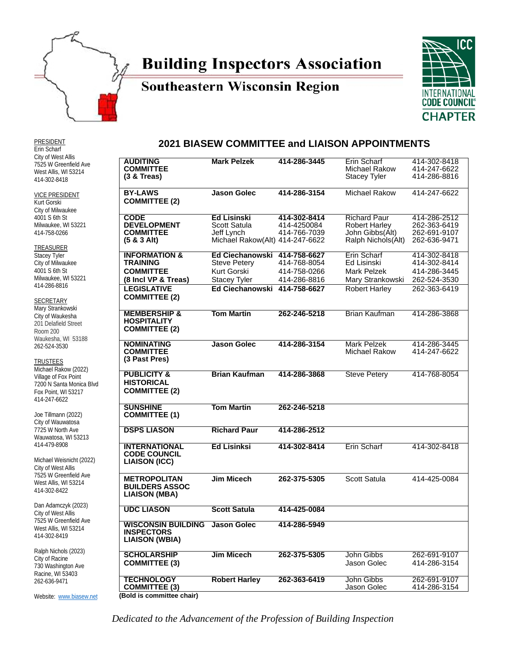

# **Building Inspectors Association**

### **Southeastern Wisconsin Region**



PRESIDENT Erin Scharf City of West Allis 7525 W Greenfield Ave West Allis, WI 53214 414-302-8418

VICE PRESIDENT Kurt Gorski City of Milwaukee 4001 S 6th St Milwaukee, WI 53221 414-758-0266

**TREASURER** Stacey Tyler City of Milwaukee 4001 S 6th St Milwaukee, WI 53221 414-286-8816

**SECRETARY** 

Mary Strankowski City of Waukesha 201 Delafield Street Room 200 Waukesha, WI 53188 262-524-3530

**TRUSTEES** 

Michael Rakow (2022) Village of Fox Point 7200 N Santa Monica Blvd Fox Point, WI 53217 414-247-6622

Joe Tillmann (2022) City of Wauwatosa 7725 W North Ave Wauwatosa, WI 53213 414-479-8908

Michael Weisnicht (2022) City of West Allis 7525 W Greenfield Ave West Allis, WI 53214 414-302-8422

Dan Adamczyk (2023) City of West Allis 7525 W Greenfield Ave West Allis, WI 53214 414-302-8419

Ralph Nichols (2023) City of Racine 730 Washington Ave Racine, WI 53403 262-636-9471

Website: [www.biasew.net](http://www.biasew.net/)

#### **2021 BIASEW COMMITTEE and LIAISON APPOINTMENTS**

| <b>AUDITING</b><br><b>COMMITTEE</b><br>$(3 &$ Treas)                                   | <b>Mark Pelzek</b>                                                                        | 414-286-3445                                 | Erin Scharf<br>Michael Rakow<br><b>Stacey Tyler</b>                                   | 414-302-8418<br>414-247-6622<br>414-286-8816                 |
|----------------------------------------------------------------------------------------|-------------------------------------------------------------------------------------------|----------------------------------------------|---------------------------------------------------------------------------------------|--------------------------------------------------------------|
| <b>BY-LAWS</b><br><b>COMMITTEE (2)</b>                                                 | <b>Jason Golec</b>                                                                        | 414-286-3154                                 | Michael Rakow                                                                         | 414-247-6622                                                 |
| <b>CODE</b><br><b>DEVELOPMENT</b><br><b>COMMITTEE</b><br>$(5 & 3$ Alt)                 | <b>Ed Lisinski</b><br>Scott Satula<br>Jeff Lynch<br>Michael Rakow(Alt) 414-247-6622       | 414-302-8414<br>414-4250084<br>414-766-7039  | <b>Richard Paur</b><br><b>Robert Harley</b><br>John Gibbs(Alt)<br>Ralph Nichols (Alt) | 414-286-2512<br>262-363-6419<br>262-691-9107<br>262-636-9471 |
| <b>INFORMATION &amp;</b><br><b>TRAINING</b><br><b>COMMITTEE</b><br>(8 Incl VP & Treas) | Ed Ciechanowski 414-758-6627<br><b>Steve Petery</b><br>Kurt Gorski<br><b>Stacey Tyler</b> | 414-768-8054<br>414-758-0266<br>414-286-8816 | Erin Scharf<br>Ed Lisinski<br>Mark Pelzek<br>Mary Strankowski                         | 414-302-8418<br>414-302-8414<br>414-286-3445<br>262-524-3530 |
| <b>LEGISLATIVE</b><br><b>COMMITTEE (2)</b>                                             | <b>Ed Ciechanowski</b>                                                                    | 414-758-6627                                 | <b>Robert Harley</b>                                                                  | 262-363-6419                                                 |
| <b>MEMBERSHIP &amp;</b><br><b>HOSPITALITY</b><br><b>COMMITTEE (2)</b>                  | <b>Tom Martin</b>                                                                         | 262-246-5218                                 | <b>Brian Kaufman</b>                                                                  | 414-286-3868                                                 |
| <b>NOMINATING</b><br><b>COMMITTEE</b><br>(3 Past Pres)                                 | <b>Jason Golec</b>                                                                        | 414-286-3154                                 | Mark Pelzek<br>Michael Rakow                                                          | 414-286-3445<br>414-247-6622                                 |
| <b>PUBLICITY &amp;</b><br><b>HISTORICAL</b><br><b>COMMITTEE (2)</b>                    | <b>Brian Kaufman</b>                                                                      | 414-286-3868                                 | <b>Steve Petery</b>                                                                   | 414-768-8054                                                 |
| <b>SUNSHINE</b><br><b>COMMITTEE (1)</b>                                                | <b>Tom Martin</b>                                                                         | 262-246-5218                                 |                                                                                       |                                                              |
| <b>DSPS LIASON</b>                                                                     | <b>Richard Paur</b>                                                                       | 414-286-2512                                 |                                                                                       |                                                              |
| <b>INTERNATIONAL</b><br><b>CODE COUNCIL</b><br><b>LIAISON (ICC)</b>                    | <b>Ed Lisinksi</b>                                                                        | 414-302-8414                                 | Erin Scharf                                                                           | 414-302-8418                                                 |
| <b>METROPOLITAN</b><br><b>BUILDERS ASSOC</b><br><b>LIAISON (MBA)</b>                   | <b>Jim Micech</b>                                                                         | 262-375-5305                                 | Scott Satula                                                                          | 414-425-0084                                                 |
| <b>UDC LIASON</b>                                                                      | <b>Scott Satula</b>                                                                       | 414-425-0084                                 |                                                                                       |                                                              |
| <b>WISCONSIN BUILDING</b><br><b>INSPECTORS</b><br><b>LIAISON (WBIA)</b>                | <b>Jason Golec</b>                                                                        | 414-286-5949                                 |                                                                                       |                                                              |
| <b>SCHOLARSHIP</b><br><b>COMMITTEE (3)</b>                                             | <b>Jim Micech</b>                                                                         | 262-375-5305                                 | John Gibbs<br>Jason Golec                                                             | 262-691-9107<br>414-286-3154                                 |
| <b>TECHNOLOGY</b><br><b>COMMITTEE (3)</b><br>(Bold is committee chair)                 | <b>Robert Harley</b>                                                                      | 262-363-6419                                 | John Gibbs<br>Jason Golec                                                             | 262-691-9107<br>414-286-3154                                 |

*Dedicated to the Advancement of the Profession of Building Inspection*